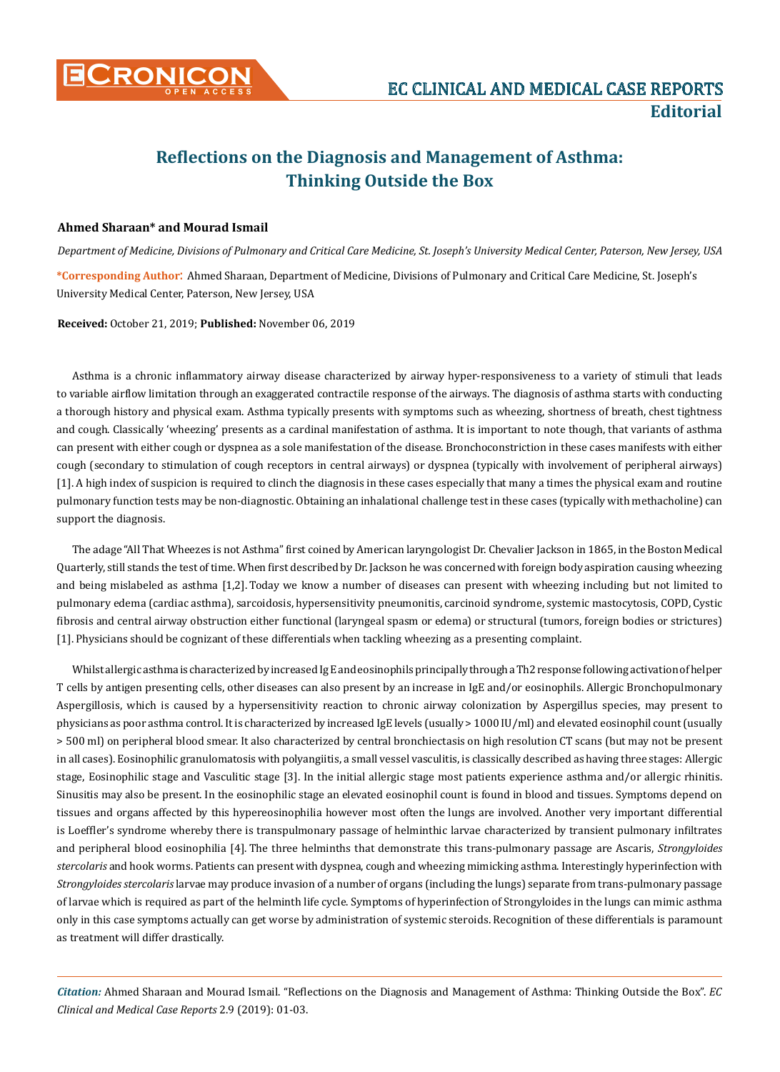

## **Reflections on the Diagnosis and Management of Asthma: Thinking Outside the Box**

## **Ahmed Sharaan\* and Mourad Ismail**

*Department of Medicine, Divisions of Pulmonary and Critical Care Medicine, St. Joseph's University Medical Center, Paterson, New Jersey, USA* **\*Corresponding Author**: Ahmed Sharaan, Department of Medicine, Divisions of Pulmonary and Critical Care Medicine, St. Joseph's University Medical Center, Paterson, New Jersey, USA

**Received:** October 21, 2019; **Published:** November 06, 2019

Asthma is a chronic inflammatory airway disease characterized by airway hyper-responsiveness to a variety of stimuli that leads to variable airflow limitation through an exaggerated contractile response of the airways. The diagnosis of asthma starts with conducting a thorough history and physical exam. Asthma typically presents with symptoms such as wheezing, shortness of breath, chest tightness and cough. Classically 'wheezing' presents as a cardinal manifestation of asthma. It is important to note though, that variants of asthma can present with either cough or dyspnea as a sole manifestation of the disease. Bronchoconstriction in these cases manifests with either cough (secondary to stimulation of cough receptors in central airways) or dyspnea (typically with involvement of peripheral airways) [1]. A high index of suspicion is required to clinch the diagnosis in these cases especially that many a times the physical exam and routine pulmonary function tests may be non-diagnostic. Obtaining an inhalational challenge test in these cases (typically with methacholine) can support the diagnosis.

The adage "All That Wheezes is not Asthma" first coined by American laryngologist Dr. Chevalier Jackson in 1865, in the Boston Medical Quarterly, still stands the test of time. When first described by Dr. Jackson he was concerned with foreign body aspiration causing wheezing and being mislabeled as asthma [1,2]. Today we know a number of diseases can present with wheezing including but not limited to pulmonary edema (cardiac asthma), sarcoidosis, hypersensitivity pneumonitis, carcinoid syndrome, systemic mastocytosis, COPD, Cystic fibrosis and central airway obstruction either functional (laryngeal spasm or edema) or structural (tumors, foreign bodies or strictures) [1]. Physicians should be cognizant of these differentials when tackling wheezing as a presenting complaint.

Whilst allergic asthma is characterized by increased Ig E and eosinophils principally through a Th2 response following activation of helper T cells by antigen presenting cells, other diseases can also present by an increase in IgE and/or eosinophils. Allergic Bronchopulmonary Aspergillosis, which is caused by a hypersensitivity reaction to chronic airway colonization by Aspergillus species, may present to physicians as poor asthma control. It is characterized by increased IgE levels (usually > 1000 IU/ml) and elevated eosinophil count (usually > 500 ml) on peripheral blood smear. It also characterized by central bronchiectasis on high resolution CT scans (but may not be present in all cases). Eosinophilic granulomatosis with polyangiitis, a small vessel vasculitis, is classically described as having three stages: Allergic stage, Eosinophilic stage and Vasculitic stage [3]. In the initial allergic stage most patients experience asthma and/or allergic rhinitis. Sinusitis may also be present. In the eosinophilic stage an elevated eosinophil count is found in blood and tissues. Symptoms depend on tissues and organs affected by this hypereosinophilia however most often the lungs are involved. Another very important differential is Loeffler's syndrome whereby there is transpulmonary passage of helminthic larvae characterized by transient pulmonary infiltrates and peripheral blood eosinophilia [4]. The three helminths that demonstrate this trans-pulmonary passage are Ascaris, *Strongyloides stercolaris* and hook worms. Patients can present with dyspnea, cough and wheezing mimicking asthma. Interestingly hyperinfection with *Strongyloides stercolaris* larvae may produce invasion of a number of organs (including the lungs) separate from trans-pulmonary passage of larvae which is required as part of the helminth life cycle. Symptoms of hyperinfection of Strongyloides in the lungs can mimic asthma only in this case symptoms actually can get worse by administration of systemic steroids. Recognition of these differentials is paramount as treatment will differ drastically.

*Citation:* Ahmed Sharaan and Mourad Ismail. "Reflections on the Diagnosis and Management of Asthma: Thinking Outside the Box". *EC Clinical and Medical Case Reports* 2.9 (2019): 01-03.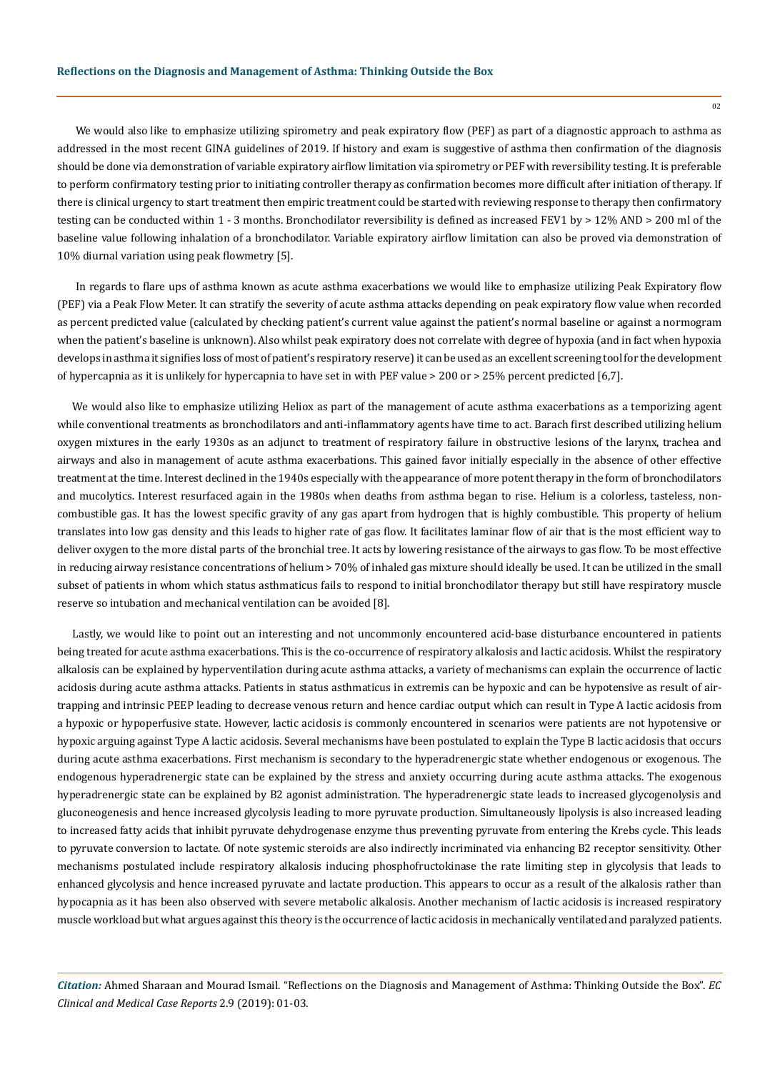02

We would also like to emphasize utilizing spirometry and peak expiratory flow (PEF) as part of a diagnostic approach to asthma as addressed in the most recent GINA guidelines of 2019. If history and exam is suggestive of asthma then confirmation of the diagnosis should be done via demonstration of variable expiratory airflow limitation via spirometry or PEF with reversibility testing. It is preferable to perform confirmatory testing prior to initiating controller therapy as confirmation becomes more difficult after initiation of therapy. If there is clinical urgency to start treatment then empiric treatment could be started with reviewing response to therapy then confirmatory testing can be conducted within 1 - 3 months. Bronchodilator reversibility is defined as increased FEV1 by > 12% AND > 200 ml of the baseline value following inhalation of a bronchodilator. Variable expiratory airflow limitation can also be proved via demonstration of 10% diurnal variation using peak flowmetry [5].

 In regards to flare ups of asthma known as acute asthma exacerbations we would like to emphasize utilizing Peak Expiratory flow (PEF) via a Peak Flow Meter. It can stratify the severity of acute asthma attacks depending on peak expiratory flow value when recorded as percent predicted value (calculated by checking patient's current value against the patient's normal baseline or against a normogram when the patient's baseline is unknown). Also whilst peak expiratory does not correlate with degree of hypoxia (and in fact when hypoxia develops in asthma it signifies loss of most of patient's respiratory reserve) it can be used as an excellent screening tool for the development of hypercapnia as it is unlikely for hypercapnia to have set in with PEF value > 200 or > 25% percent predicted [6,7].

We would also like to emphasize utilizing Heliox as part of the management of acute asthma exacerbations as a temporizing agent while conventional treatments as bronchodilators and anti-inflammatory agents have time to act. Barach first described utilizing helium oxygen mixtures in the early 1930s as an adjunct to treatment of respiratory failure in obstructive lesions of the larynx, trachea and airways and also in management of acute asthma exacerbations. This gained favor initially especially in the absence of other effective treatment at the time. Interest declined in the 1940s especially with the appearance of more potent therapy in the form of bronchodilators and mucolytics. Interest resurfaced again in the 1980s when deaths from asthma began to rise. Helium is a colorless, tasteless, noncombustible gas. It has the lowest specific gravity of any gas apart from hydrogen that is highly combustible. This property of helium translates into low gas density and this leads to higher rate of gas flow. It facilitates laminar flow of air that is the most efficient way to deliver oxygen to the more distal parts of the bronchial tree. It acts by lowering resistance of the airways to gas flow. To be most effective in reducing airway resistance concentrations of helium > 70% of inhaled gas mixture should ideally be used. It can be utilized in the small subset of patients in whom which status asthmaticus fails to respond to initial bronchodilator therapy but still have respiratory muscle reserve so intubation and mechanical ventilation can be avoided [8].

Lastly, we would like to point out an interesting and not uncommonly encountered acid-base disturbance encountered in patients being treated for acute asthma exacerbations. This is the co-occurrence of respiratory alkalosis and lactic acidosis. Whilst the respiratory alkalosis can be explained by hyperventilation during acute asthma attacks, a variety of mechanisms can explain the occurrence of lactic acidosis during acute asthma attacks. Patients in status asthmaticus in extremis can be hypoxic and can be hypotensive as result of airtrapping and intrinsic PEEP leading to decrease venous return and hence cardiac output which can result in Type A lactic acidosis from a hypoxic or hypoperfusive state. However, lactic acidosis is commonly encountered in scenarios were patients are not hypotensive or hypoxic arguing against Type A lactic acidosis. Several mechanisms have been postulated to explain the Type B lactic acidosis that occurs during acute asthma exacerbations. First mechanism is secondary to the hyperadrenergic state whether endogenous or exogenous. The endogenous hyperadrenergic state can be explained by the stress and anxiety occurring during acute asthma attacks. The exogenous hyperadrenergic state can be explained by B2 agonist administration. The hyperadrenergic state leads to increased glycogenolysis and gluconeogenesis and hence increased glycolysis leading to more pyruvate production. Simultaneously lipolysis is also increased leading to increased fatty acids that inhibit pyruvate dehydrogenase enzyme thus preventing pyruvate from entering the Krebs cycle. This leads to pyruvate conversion to lactate. Of note systemic steroids are also indirectly incriminated via enhancing B2 receptor sensitivity. Other mechanisms postulated include respiratory alkalosis inducing phosphofructokinase the rate limiting step in glycolysis that leads to enhanced glycolysis and hence increased pyruvate and lactate production. This appears to occur as a result of the alkalosis rather than hypocapnia as it has been also observed with severe metabolic alkalosis. Another mechanism of lactic acidosis is increased respiratory muscle workload but what argues against this theory is the occurrence of lactic acidosis in mechanically ventilated and paralyzed patients.

*Citation:* Ahmed Sharaan and Mourad Ismail. "Reflections on the Diagnosis and Management of Asthma: Thinking Outside the Box". *EC Clinical and Medical Case Reports* 2.9 (2019): 01-03.